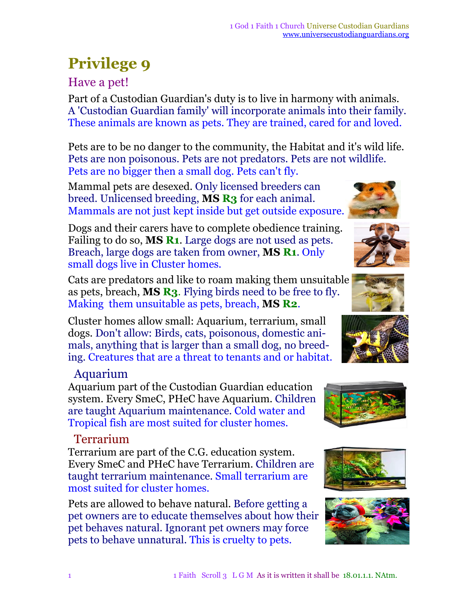# **Privilege 9**

### Have a pet!

Part of a Custodian Guardian's duty is to live in harmony with animals. A 'Custodian Guardian family' will incorporate animals into their family. These animals are known as pets. They are trained, cared for and loved.

Pets are to be no danger to the community, the Habitat and it's wild life. Pets are non poisonous. Pets are not predators. Pets are not wildlife. Pets are no bigger then a small dog. Pets can't fly.

Mammal pets are desexed. Only licensed breeders can breed. Unlicensed breeding, **MS R3** for each animal. Mammals are not just kept inside but get outside exposure.

Dogs and their carers have to complete obedience training. Failing to do so, **MS R1**. Large dogs are not used as pets. Breach, large dogs are taken from owner, **MS R1**. Only small dogs live in Cluster homes.

Cats are predators and like to roam making them unsuitable as pets, breach, **MS R3**. Flying birds need to be free to fly. Making them unsuitable as pets, breach, **MS R2**.

Cluster homes allow small: Aquarium, terrarium, small dogs. Don't allow: Birds, cats, poisonous, domestic animals, anything that is larger than a small dog, no breeding. Creatures that are a threat to tenants and or habitat.

### Aquarium

Aquarium part of the Custodian Guardian education system. Every SmeC, PHeC have Aquarium. Children are taught Aquarium maintenance. Cold water and Tropical fish are most suited for cluster homes.

### Terrarium

Terrarium are part of the C.G. education system. Every SmeC and PHeC have Terrarium. Children are taught terrarium maintenance. Small terrarium are most suited for cluster homes.

Pets are allowed to behave natural. Before getting a pet owners are to educate themselves about how their pet behaves natural. Ignorant pet owners may force pets to behave unnatural. This is cruelty to pets.













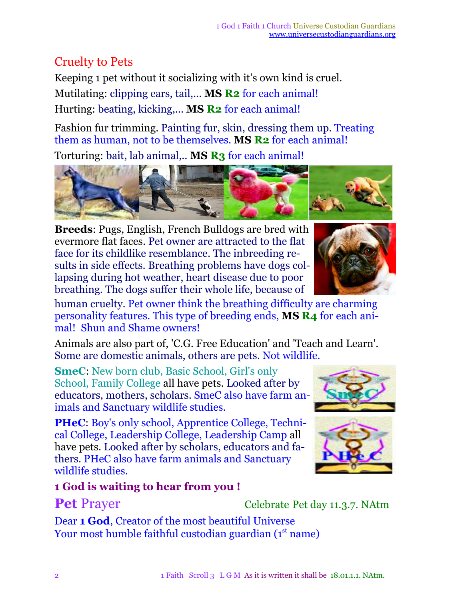## Cruelty to Pets

Keeping 1 pet without it socializing with it's own kind is cruel. Mutilating: clipping ears, tail,... **MS R2** for each animal! Hurting: beating, kicking,... **MS R2** for each animal!

Fashion fur trimming. Painting fur, skin, dressing them up. Treating them as human, not to be themselves. **MS R2** for each animal!

Torturing: bait, lab animal,.. **MS R3** for each animal!

**Breeds**: Pugs, English, French Bulldogs are bred with evermore flat faces. Pet owner are attracted to the flat face for its childlike resemblance. The inbreeding results in side effects. Breathing problems have dogs collapsing during hot weather, heart disease due to poor breathing. The dogs suffer their whole life, because of

human cruelty. Pet owner think the breathing difficulty are charming personality features. This type of breeding ends, **MS R4** for each animal! Shun and Shame owners!

Animals are also part of, 'C.G. Free Education' and 'Teach and Learn'. Some are domestic animals, others are pets. Not wildlife.

**SmeC**: New born club, Basic School, Girl's only School, Family College all have pets. Looked after by educators, mothers, scholars. SmeC also have farm animals and Sanctuary wildlife studies.

**PHeC**: Boy's only school, Apprentice College, Technical College, Leadership College, Leadership Camp all have pets. Looked after by scholars, educators and fathers. PHeC also have farm animals and Sanctuary wildlife studies.

Dear **1 God**, Creator of the most beautiful Universe

Your most humble faithful custodian guardian (1<sup>st</sup> name)

### **1 God is waiting to hear from you !**

**Pet** Prayer Celebrate Pet day 11.3.7. NAtm